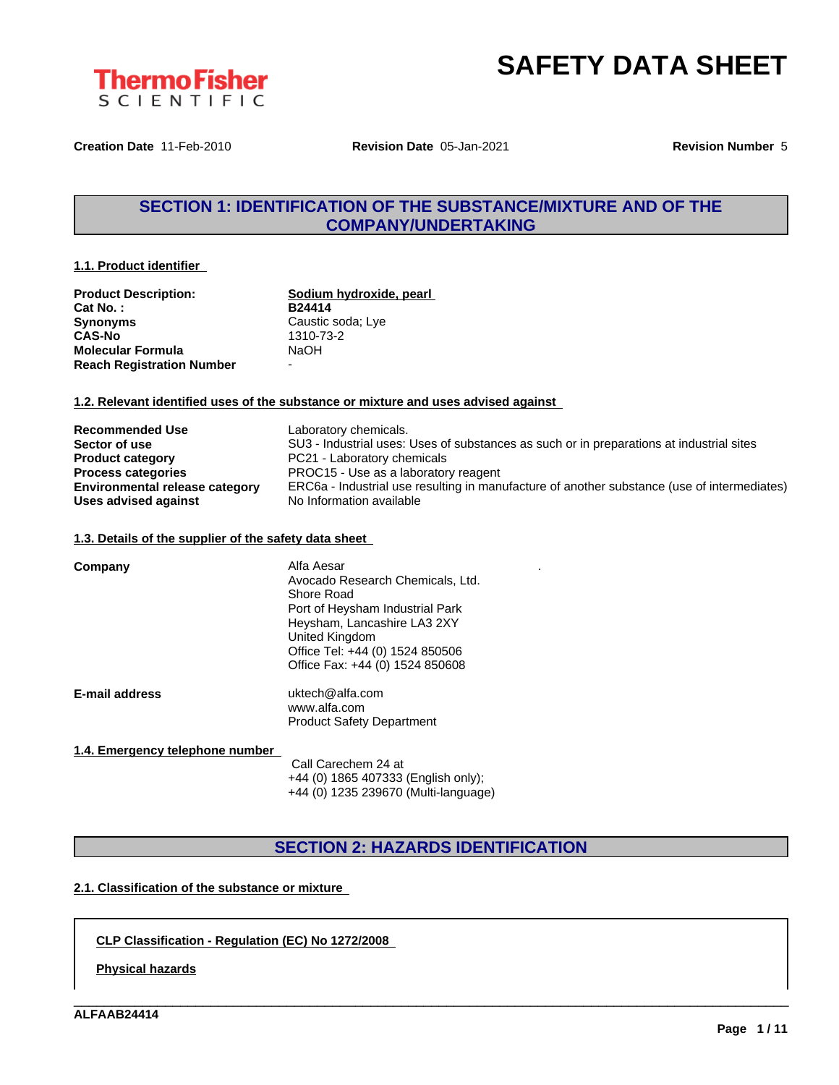



**Creation Date** 11-Feb-2010 **Revision Date** 05-Jan-2021 **Revision Number** 5

### **SECTION 1: IDENTIFICATION OF THE SUBSTANCE/MIXTURE AND OF THE COMPANY/UNDERTAKING**

#### **1.1. Product identifier**

| <b>Product Description:</b>      | Sodium hydroxide, pearl  |
|----------------------------------|--------------------------|
| Cat No.:                         | B24414                   |
| <b>Synonyms</b>                  | Caustic soda; Lye        |
| <b>CAS-No</b>                    | 1310-73-2                |
| <b>Molecular Formula</b>         | NaOH                     |
| <b>Reach Registration Number</b> | $\overline{\phantom{0}}$ |

#### **1.2. Relevant identified uses of the substance or mixture and uses advised against**

| <b>Recommended Use</b>                | Laboratory chemicals.                                                                       |
|---------------------------------------|---------------------------------------------------------------------------------------------|
| Sector of use                         | SU3 - Industrial uses: Uses of substances as such or in preparations at industrial sites    |
| <b>Product category</b>               | PC21 - Laboratory chemicals                                                                 |
| <b>Process categories</b>             | PROC15 - Use as a laboratory reagent                                                        |
| <b>Environmental release category</b> | ERC6a - Industrial use resulting in manufacture of another substance (use of intermediates) |
| Uses advised against                  | No Information available                                                                    |

#### **1.3. Details of the supplier of the safety data sheet**

| Company               | Alfa Aesar<br>Avocado Research Chemicals, Ltd.<br>Shore Road<br>Port of Heysham Industrial Park<br>Heysham, Lancashire LA3 2XY<br>United Kingdom<br>Office Tel: +44 (0) 1524 850506<br>Office Fax: +44 (0) 1524 850608 |
|-----------------------|------------------------------------------------------------------------------------------------------------------------------------------------------------------------------------------------------------------------|
| <b>E-mail address</b> | uktech@alfa.com<br>www.alfa.com<br><b>Product Safety Department</b>                                                                                                                                                    |

#### **1.4. Emergency telephone number**

Call Carechem 24 at +44 (0) 1865 407333 (English only); +44 (0) 1235 239670 (Multi-language)

### **SECTION 2: HAZARDS IDENTIFICATION**

\_\_\_\_\_\_\_\_\_\_\_\_\_\_\_\_\_\_\_\_\_\_\_\_\_\_\_\_\_\_\_\_\_\_\_\_\_\_\_\_\_\_\_\_\_\_\_\_\_\_\_\_\_\_\_\_\_\_\_\_\_\_\_\_\_\_\_\_\_\_\_\_\_\_\_\_\_\_\_\_\_\_\_\_\_\_\_\_\_\_\_\_\_\_

#### **2.1. Classification of the substance or mixture**

#### **CLP Classification - Regulation (EC) No 1272/2008**

**Physical hazards**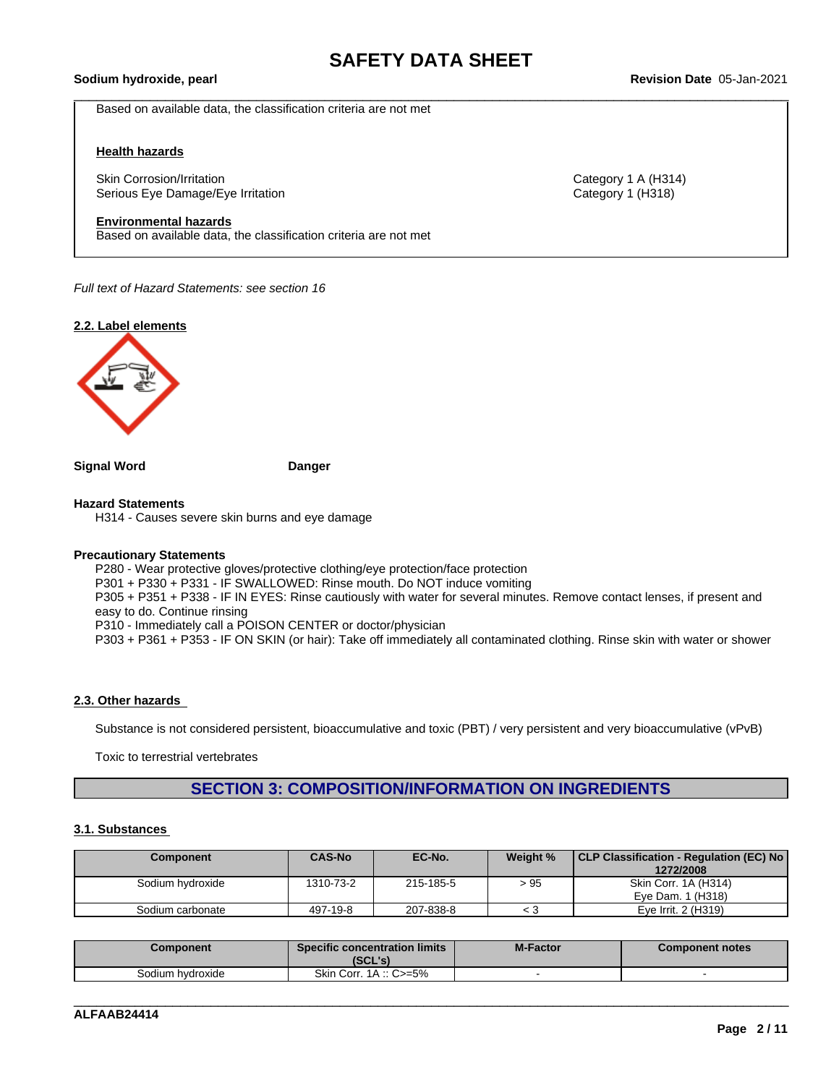\_\_\_\_\_\_\_\_\_\_\_\_\_\_\_\_\_\_\_\_\_\_\_\_\_\_\_\_\_\_\_\_\_\_\_\_\_\_\_\_\_\_\_\_\_\_\_\_\_\_\_\_\_\_\_\_\_\_\_\_\_\_\_\_\_\_\_\_\_\_\_\_\_\_\_\_\_\_\_\_\_\_\_\_\_\_\_\_\_\_\_\_\_\_ **Sodium hydroxide, pearl Revision Date** 05-Jan-2021

Based on available data, the classification criteria are not met

#### **Health hazards**

Skin Corrosion/Irritation **Category 1 A (H314)** Category 1 A (H314) Serious Eye Damage/Eye Irritation Category 1 (H318)

#### **Environmental hazards**

Based on available data, the classification criteria are not met

*Full text of Hazard Statements: see section 16*

#### **2.2. Label elements**



**Signal Word Danger**

#### **Hazard Statements**

H314 - Causes severe skin burns and eye damage

#### **Precautionary Statements**

P280 - Wear protective gloves/protective clothing/eye protection/face protection P301 + P330 + P331 - IF SWALLOWED: Rinse mouth. Do NOT induce vomiting P305 + P351 + P338 - IF IN EYES: Rinse cautiously with water for several minutes. Remove contact lenses, if present and easy to do. Continue rinsing P310 - Immediately call a POISON CENTER or doctor/physician P303 + P361 + P353 - IF ON SKIN (or hair): Take off immediately all contaminated clothing. Rinse skin with water or shower

#### **2.3. Other hazards**

Substance is not considered persistent, bioaccumulative and toxic (PBT) / very persistent and very bioaccumulative (vPvB)

Toxic to terrestrial vertebrates

### **SECTION 3: COMPOSITION/INFORMATION ON INGREDIENTS**

#### **3.1. Substances**

| Component        | <b>CAS-No</b> | EC-No.    | Weight % | CLP Classification - Regulation (EC) No<br>1272/2008 |
|------------------|---------------|-----------|----------|------------------------------------------------------|
| Sodium hydroxide | 1310-73-2     | 215-185-5 | >95      | Skin Corr. 1A (H314)                                 |
|                  |               |           |          | Eve Dam. 1 (H318)                                    |
| Sodium carbonate | 497-19-8      | 207-838-8 |          | Eve Irrit. 2 (H319)                                  |

| Component        | <b>Specific concentration limits</b><br>ומי ומא<br>196L 5. | <b>M-Factor</b> | <b>Component notes</b> |
|------------------|------------------------------------------------------------|-----------------|------------------------|
| Sodium hydroxide | Skin Corr.<br>–5% –<br>$1A \dots 0$                        |                 |                        |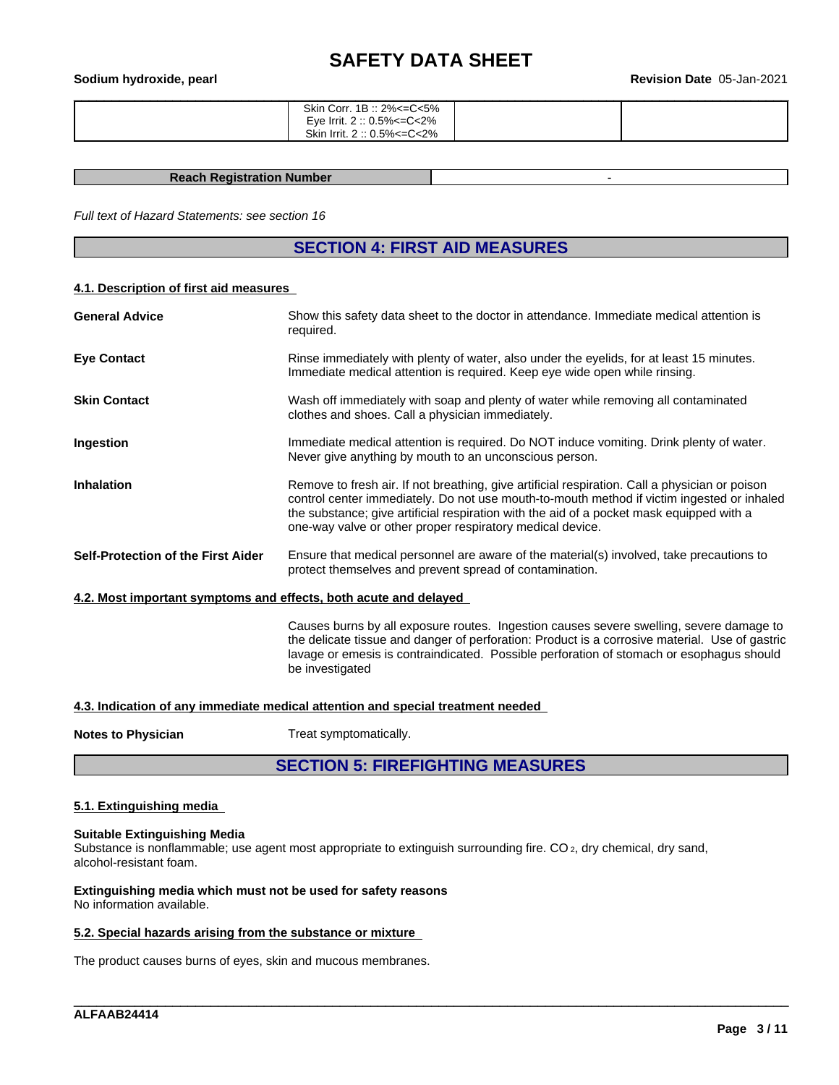| Sodium hydroxide, pearl |                                                                                        | <b>Revision Date 05-Jan-2021</b> |
|-------------------------|----------------------------------------------------------------------------------------|----------------------------------|
|                         | Skin Corr. 1B :: 2%<=C<5%<br>Eye Irrit. 2 :: 0.5%<=C<2%<br>Skin Irrit. 2 :: 0.5%<=C<2% |                                  |

#### **Reach Registration Number** -

*Full text of Hazard Statements: see section 16*

### **SECTION 4: FIRST AID MEASURES**

#### **4.1. Description of first aid measures**

| <b>General Advice</b>                                            | Show this safety data sheet to the doctor in attendance. Immediate medical attention is<br>required.                                                                                                                                                                                                                                                  |
|------------------------------------------------------------------|-------------------------------------------------------------------------------------------------------------------------------------------------------------------------------------------------------------------------------------------------------------------------------------------------------------------------------------------------------|
| <b>Eye Contact</b>                                               | Rinse immediately with plenty of water, also under the eyelids, for at least 15 minutes.<br>Immediate medical attention is required. Keep eye wide open while rinsing.                                                                                                                                                                                |
| <b>Skin Contact</b>                                              | Wash off immediately with soap and plenty of water while removing all contaminated<br>clothes and shoes. Call a physician immediately.                                                                                                                                                                                                                |
| Ingestion                                                        | Immediate medical attention is required. Do NOT induce vomiting. Drink plenty of water.<br>Never give anything by mouth to an unconscious person.                                                                                                                                                                                                     |
| <b>Inhalation</b>                                                | Remove to fresh air. If not breathing, give artificial respiration. Call a physician or poison<br>control center immediately. Do not use mouth-to-mouth method if victim ingested or inhaled<br>the substance; give artificial respiration with the aid of a pocket mask equipped with a<br>one-way valve or other proper respiratory medical device. |
| Self-Protection of the First Aider                               | Ensure that medical personnel are aware of the material(s) involved, take precautions to<br>protect themselves and prevent spread of contamination.                                                                                                                                                                                                   |
| 4.2. Most important symptoms and effects, both acute and delayed |                                                                                                                                                                                                                                                                                                                                                       |
|                                                                  | Causes burns by all exposure routes. Ingestion causes severe swelling, severe damage to<br>the delicate tissue and danger of perforation: Product is a corrosive material. Use of gastric<br>lavage or emesis is contraindicated. Possible perforation of stomach or esophagus should<br>be investigated                                              |
|                                                                  | A 2 Indication of any immediate medical estention and encoint treatment needed                                                                                                                                                                                                                                                                        |

#### **4.3. Indication of any immediate medical attention and special treatment needed**

**Notes to Physician** Treat symptomatically.

### **SECTION 5: FIREFIGHTING MEASURES**

\_\_\_\_\_\_\_\_\_\_\_\_\_\_\_\_\_\_\_\_\_\_\_\_\_\_\_\_\_\_\_\_\_\_\_\_\_\_\_\_\_\_\_\_\_\_\_\_\_\_\_\_\_\_\_\_\_\_\_\_\_\_\_\_\_\_\_\_\_\_\_\_\_\_\_\_\_\_\_\_\_\_\_\_\_\_\_\_\_\_\_\_\_\_

#### **5.1. Extinguishing media**

#### **Suitable Extinguishing Media**

Substance is nonflammable; use agent most appropriate to extinguish surrounding fire. CO 2, dry chemical, dry sand, alcohol-resistant foam.

#### **Extinguishing media which must not be used for safety reasons** No information available.

#### **5.2. Special hazards arising from the substance or mixture**

The product causes burns of eyes, skin and mucous membranes.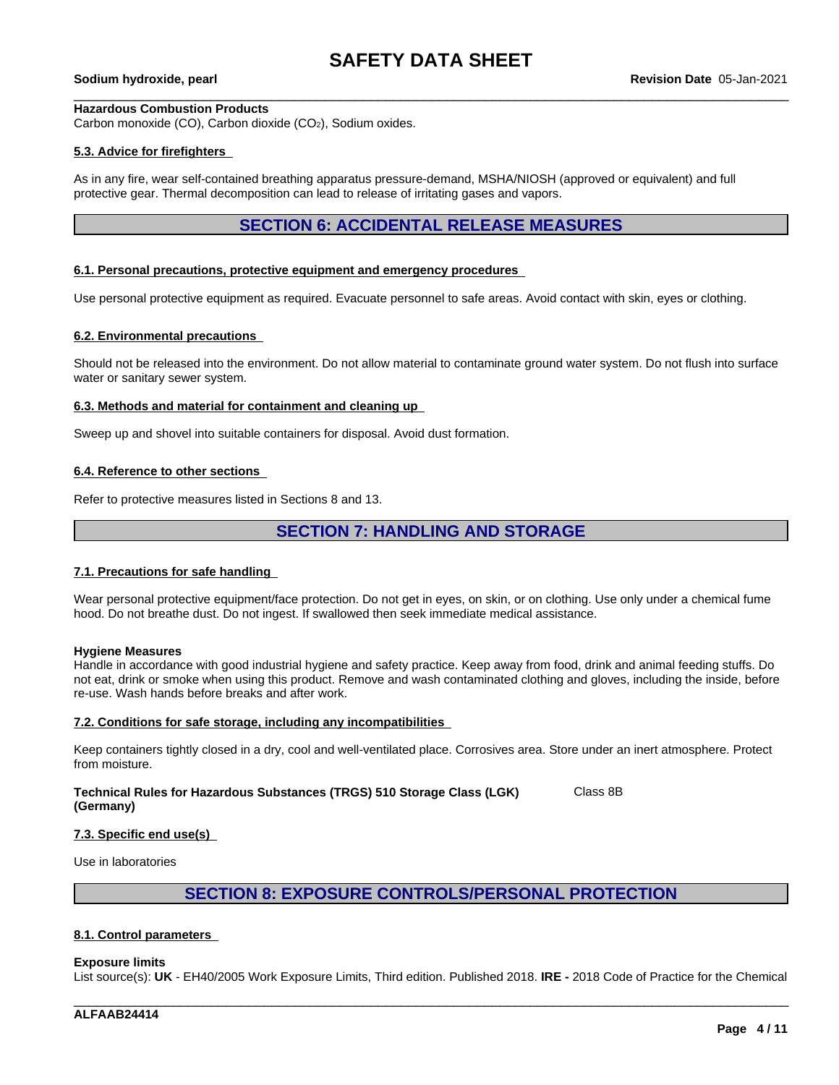#### **Hazardous Combustion Products**

Carbon monoxide (CO), Carbon dioxide (CO2), Sodium oxides.

#### **5.3. Advice for firefighters**

As in any fire, wear self-contained breathing apparatus pressure-demand, MSHA/NIOSH (approved or equivalent) and full protective gear. Thermal decomposition can lead to release of irritating gases and vapors.

### **SECTION 6: ACCIDENTAL RELEASE MEASURES**

#### **6.1. Personal precautions, protective equipment and emergency procedures**

Use personal protective equipment as required. Evacuate personnel to safe areas. Avoid contact with skin, eyes or clothing.

#### **6.2. Environmental precautions**

Should not be released into the environment. Do not allow material to contaminate ground water system. Do not flush into surface water or sanitary sewer system.

#### **6.3. Methods and material for containment and cleaning up**

Sweep up and shovel into suitable containers for disposal. Avoid dust formation.

#### **6.4. Reference to other sections**

Refer to protective measures listed in Sections 8 and 13.

### **SECTION 7: HANDLING AND STORAGE**

#### **7.1. Precautions for safe handling**

Wear personal protective equipment/face protection. Do not get in eyes, on skin, or on clothing. Use only under a chemical fume hood. Do not breathe dust. Do not ingest. If swallowed then seek immediate medical assistance.

#### **Hygiene Measures**

Handle in accordance with good industrial hygiene and safety practice. Keep away from food, drink and animal feeding stuffs. Do not eat, drink or smoke when using this product. Remove and wash contaminated clothing and gloves, including the inside, before re-use. Wash hands before breaks and after work.

#### **7.2. Conditions for safe storage, including any incompatibilities**

Keep containers tightly closed in a dry, cool and well-ventilated place. Corrosives area. Store under an inert atmosphere. Protect from moisture.

**Technical Rules for Hazardous Substances (TRGS) 510 Storage Class (LGK) (Germany)** Class 8B

#### **7.3. Specific end use(s)**

Use in laboratories

#### **SECTION 8: EXPOSURE CONTROLS/PERSONAL PROTECTION**

#### **8.1. Control parameters**

#### **Exposure limits**

List source(s): **UK** - EH40/2005 Work Exposure Limits, Third edition. Published 2018. **IRE -** 2018 Code of Practice for the Chemical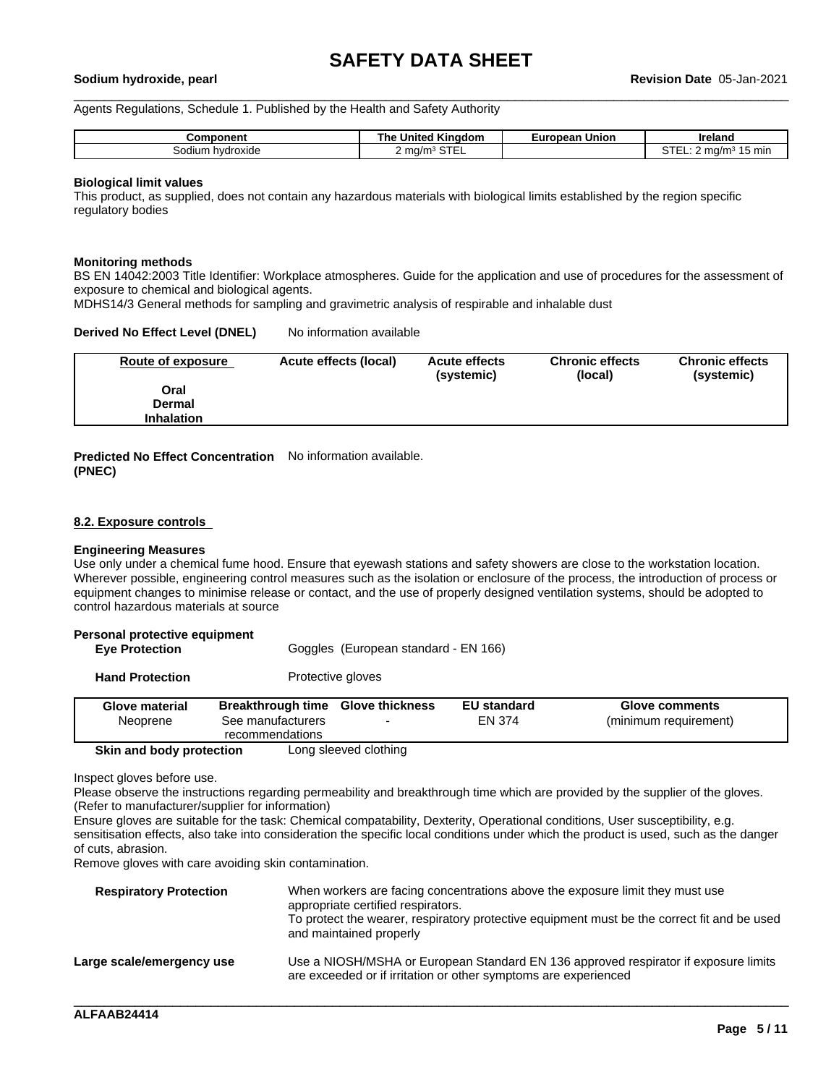Agents Regulations, Schedule 1. Published by the Health and Safety Authority

| <b>Component</b>       | $-$<br><b>United Kingdom</b><br>ı ne | Union<br>zuropean ' | Ireland               |
|------------------------|--------------------------------------|---------------------|-----------------------|
| sodium<br>a hydroxide. | $\sim$ $-$<br>' ma/m·<br>5 I EI      |                     | . .<br>ma/m<br>15 min |

#### **Biological limit values**

This product, as supplied, does not contain any hazardous materials with biological limits established by the region specific regulatory bodies

#### **Monitoring methods**

BS EN 14042:2003 Title Identifier: Workplace atmospheres. Guide for the application and use of procedures for the assessment of exposure to chemical and biological agents.

MDHS14/3 General methods for sampling and gravimetric analysis of respirable and inhalable dust

#### **Derived No Effect Level (DNEL)** No information available

| Route of exposure | Acute effects (local) | <b>Acute effects</b><br>(systemic) | <b>Chronic effects</b><br>(local) | <b>Chronic effects</b><br>(systemic) |
|-------------------|-----------------------|------------------------------------|-----------------------------------|--------------------------------------|
| Oral              |                       |                                    |                                   |                                      |
| <b>Dermal</b>     |                       |                                    |                                   |                                      |
| <b>Inhalation</b> |                       |                                    |                                   |                                      |

**Predicted No Effect Concentration** No information available. **(PNEC)**

#### **8.2. Exposure controls**

#### **Engineering Measures**

Use only under a chemical fume hood. Ensure that eyewash stations and safety showers are close to the workstation location. Wherever possible, engineering control measures such as the isolation or enclosure of the process, the introduction of process or equipment changes to minimise release or contact, and the use of properly designed ventilation systems, should be adopted to control hazardous materials at source

# **Personal protective equipment**

Goggles (European standard - EN 166)

**Hand Protection** Protective gloves

| Glove material<br>Neoprene | Breakthrough time<br>See manufacturers<br>recommendations | <b>Glove thickness</b> | <b>EU standard</b><br>EN 374 | Glove comments<br>(minimum requirement) |
|----------------------------|-----------------------------------------------------------|------------------------|------------------------------|-----------------------------------------|
| Skin and body protection   |                                                           | Long sleeved clothing  |                              |                                         |

Inspect gloves before use.

Please observe the instructions regarding permeability and breakthrough time which are provided by the supplier of the gloves. (Refer to manufacturer/supplier for information)

Ensure gloves are suitable for the task: Chemical compatability, Dexterity, Operational conditions, User susceptibility, e.g. sensitisation effects, also take into consideration the specific local conditions under which the product is used, such as the danger of cuts, abrasion.

Remove gloves with care avoiding skin contamination.

| <b>Respiratory Protection</b> | When workers are facing concentrations above the exposure limit they must use<br>appropriate certified respirators.<br>To protect the wearer, respiratory protective equipment must be the correct fit and be used<br>and maintained properly |
|-------------------------------|-----------------------------------------------------------------------------------------------------------------------------------------------------------------------------------------------------------------------------------------------|
| Large scale/emergency use     | Use a NIOSH/MSHA or European Standard EN 136 approved respirator if exposure limits<br>are exceeded or if irritation or other symptoms are experienced                                                                                        |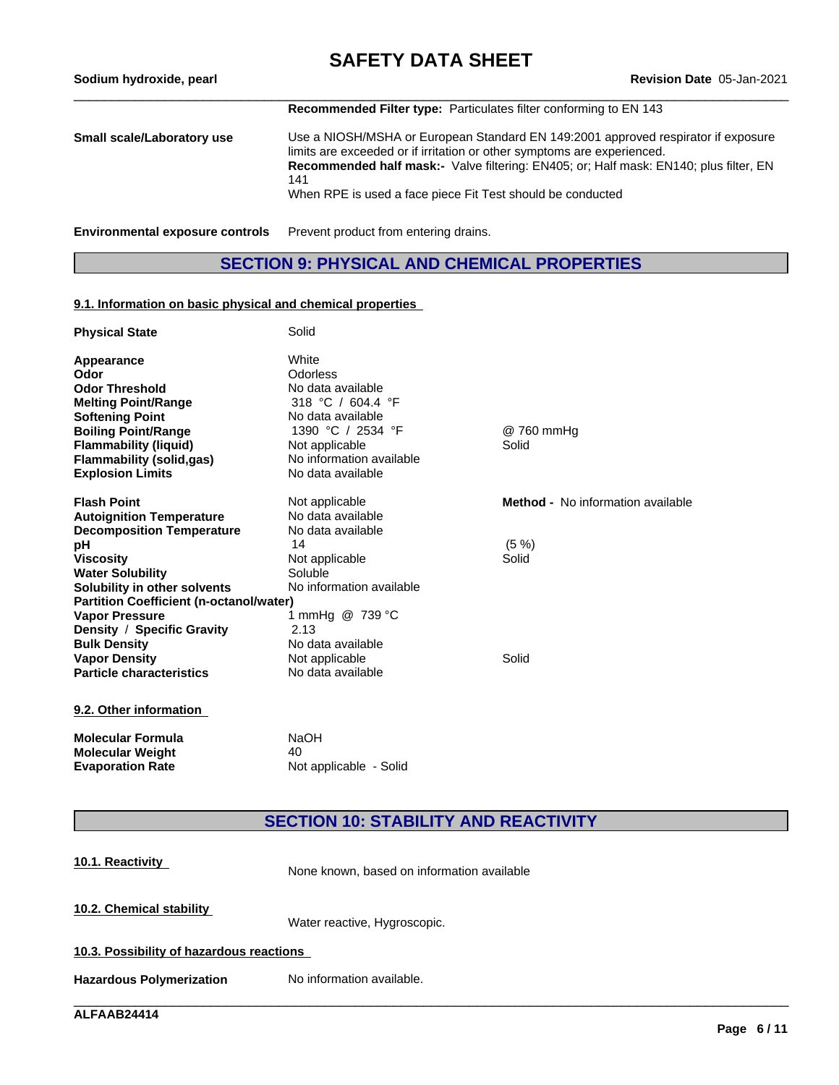# **SAFETY DATA SHEET**<br>Revision Date 05-Jan-2021

| Sodium hydroxide, pearl                | <b>Revision Date 05-Jan-2021</b>                                                                                                                                                                                                                                                                                                  |
|----------------------------------------|-----------------------------------------------------------------------------------------------------------------------------------------------------------------------------------------------------------------------------------------------------------------------------------------------------------------------------------|
|                                        | <b>Recommended Filter type:</b> Particulates filter conforming to EN 143                                                                                                                                                                                                                                                          |
| Small scale/Laboratory use             | Use a NIOSH/MSHA or European Standard EN 149:2001 approved respirator if exposure<br>limits are exceeded or if irritation or other symptoms are experienced.<br><b>Recommended half mask:-</b> Valve filtering: EN405; or: Half mask: EN140; plus filter, EN<br>141<br>When RPE is used a face piece Fit Test should be conducted |
| <b>Environmental exposure controls</b> | Prevent product from entering drains.                                                                                                                                                                                                                                                                                             |

### **SECTION 9: PHYSICAL AND CHEMICAL PROPERTIES**

#### **9.1. Information on basic physical and chemical properties**

| <b>Physical State</b>                          | Solid                    |                                          |
|------------------------------------------------|--------------------------|------------------------------------------|
| Appearance                                     | White                    |                                          |
| Odor                                           | Odorless                 |                                          |
| <b>Odor Threshold</b>                          | No data available        |                                          |
| <b>Melting Point/Range</b>                     | 318 °C / 604.4 °F        |                                          |
| <b>Softening Point</b>                         | No data available        |                                          |
| <b>Boiling Point/Range</b>                     | 1390 °C / 2534 °F        | @ 760 mmHg                               |
| <b>Flammability (liquid)</b>                   | Not applicable           | Solid                                    |
| <b>Flammability (solid,gas)</b>                | No information available |                                          |
| <b>Explosion Limits</b>                        | No data available        |                                          |
| <b>Flash Point</b>                             | Not applicable           | <b>Method -</b> No information available |
| <b>Autoignition Temperature</b>                | No data available        |                                          |
| <b>Decomposition Temperature</b>               | No data available        |                                          |
| рH                                             | 14                       | $(5 \%)$                                 |
| <b>Viscosity</b>                               | Not applicable           | Solid                                    |
| <b>Water Solubility</b>                        | Soluble                  |                                          |
| Solubility in other solvents                   | No information available |                                          |
| <b>Partition Coefficient (n-octanol/water)</b> |                          |                                          |
| <b>Vapor Pressure</b>                          | 1 mmHg @ 739 °C          |                                          |
| Density / Specific Gravity                     | 2.13                     |                                          |
| <b>Bulk Density</b>                            | No data available        |                                          |
| <b>Vapor Density</b>                           | Not applicable           | Solid                                    |
| <b>Particle characteristics</b>                | No data available        |                                          |
| 9.2. Other information                         |                          |                                          |

**Molecular Formula MaOH**<br> **Molecular Weight** 40 **Molecular Weight<br>Evaporation Rate Not applicable - Solid** 

### **SECTION 10: STABILITY AND REACTIVITY**

| 10.1. Reactivity                         | None known, based on information available |
|------------------------------------------|--------------------------------------------|
| 10.2. Chemical stability                 | Water reactive, Hygroscopic.               |
| 10.3. Possibility of hazardous reactions |                                            |
| <b>Hazardous Polymerization</b>          | No information available.                  |
|                                          |                                            |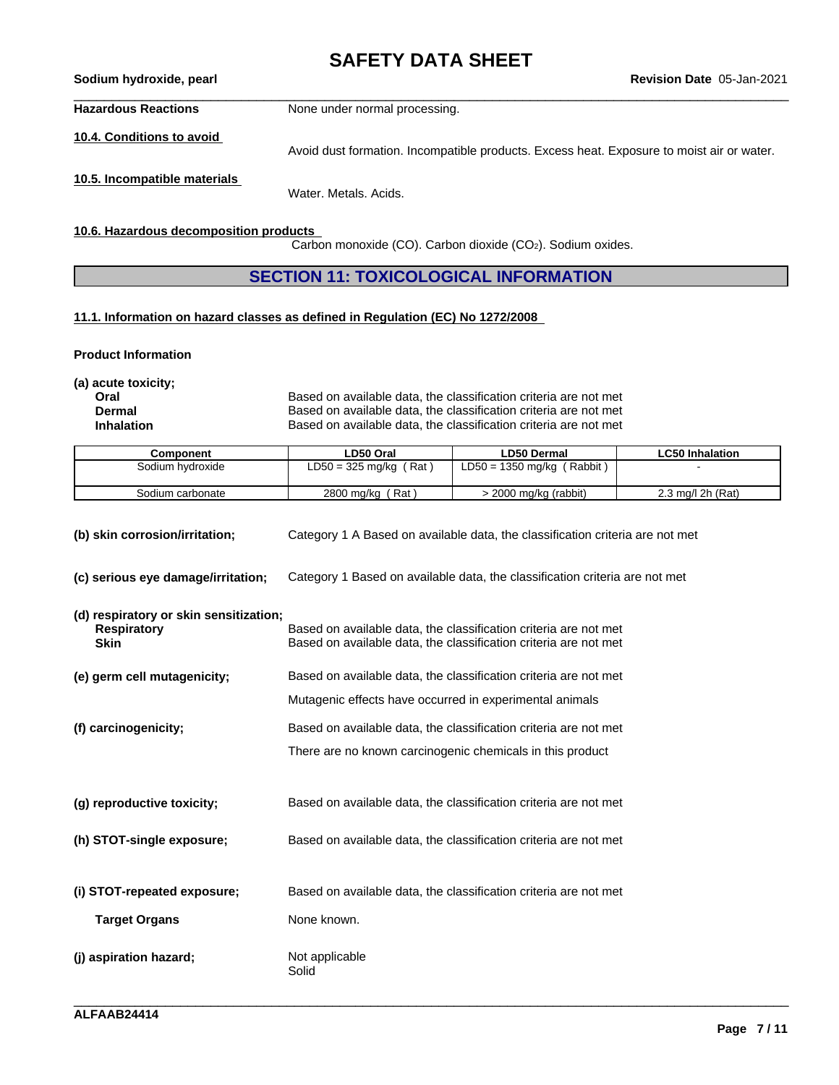**Hazardous Reactions** None under normal processing.

**10.4. Conditions to avoid**

Avoid dust formation. Incompatible products. Excess heat. Exposure to moist air or water.

**10.5. Incompatible materials**

Water. Metals. Acids.

**10.6. Hazardous decomposition products**

Carbon monoxide (CO). Carbon dioxide (CO2). Sodium oxides.

**SECTION 11: TOXICOLOGICAL INFORMATION**

#### **11.1. Information on hazard classes as defined in Regulation (EC) No 1272/2008**

**Product Information**

**(a) acute toxicity;**

**Oral Coral Based on available data, the classification criteria are not met**<br> **Dermal** Based on available data, the classification criteria are not met **Dermal** Based on available data, the classification criteria are not met<br> **Inhalation** Based on available data, the classification criteria are not met Based on available data, the classification criteria are not met

| Component        | LD50 Oral                 | <b>LD50 Dermal</b>                | <b>LC50 Inhalation</b> |
|------------------|---------------------------|-----------------------------------|------------------------|
| Sodium hvdroxide | $LD50 = 325$ mg/kg<br>Rat | ' Rabbit )<br>$LD50 = 1350$ mg/kg |                        |
| Sodium carbonate | Rat<br>2800 mg/kg         | 2000 mg/kg (rabbit)               | 2.3 mg/l 2h (Rat)      |

| (b) skin corrosion/irritation;                                              | Category 1 A Based on available data, the classification criteria are not met                                                        |
|-----------------------------------------------------------------------------|--------------------------------------------------------------------------------------------------------------------------------------|
| (c) serious eye damage/irritation;                                          | Category 1 Based on available data, the classification criteria are not met                                                          |
| (d) respiratory or skin sensitization;<br><b>Respiratory</b><br><b>Skin</b> | Based on available data, the classification criteria are not met<br>Based on available data, the classification criteria are not met |
| (e) germ cell mutagenicity;                                                 | Based on available data, the classification criteria are not met                                                                     |
|                                                                             | Mutagenic effects have occurred in experimental animals                                                                              |
| (f) carcinogenicity;                                                        | Based on available data, the classification criteria are not met                                                                     |
|                                                                             | There are no known carcinogenic chemicals in this product                                                                            |
| (q) reproductive toxicity;                                                  | Based on available data, the classification criteria are not met                                                                     |
| (h) STOT-single exposure;                                                   | Based on available data, the classification criteria are not met                                                                     |
| (i) STOT-repeated exposure;                                                 | Based on available data, the classification criteria are not met                                                                     |
| <b>Target Organs</b>                                                        | None known.                                                                                                                          |
| (j) aspiration hazard;                                                      | Not applicable<br>Solid                                                                                                              |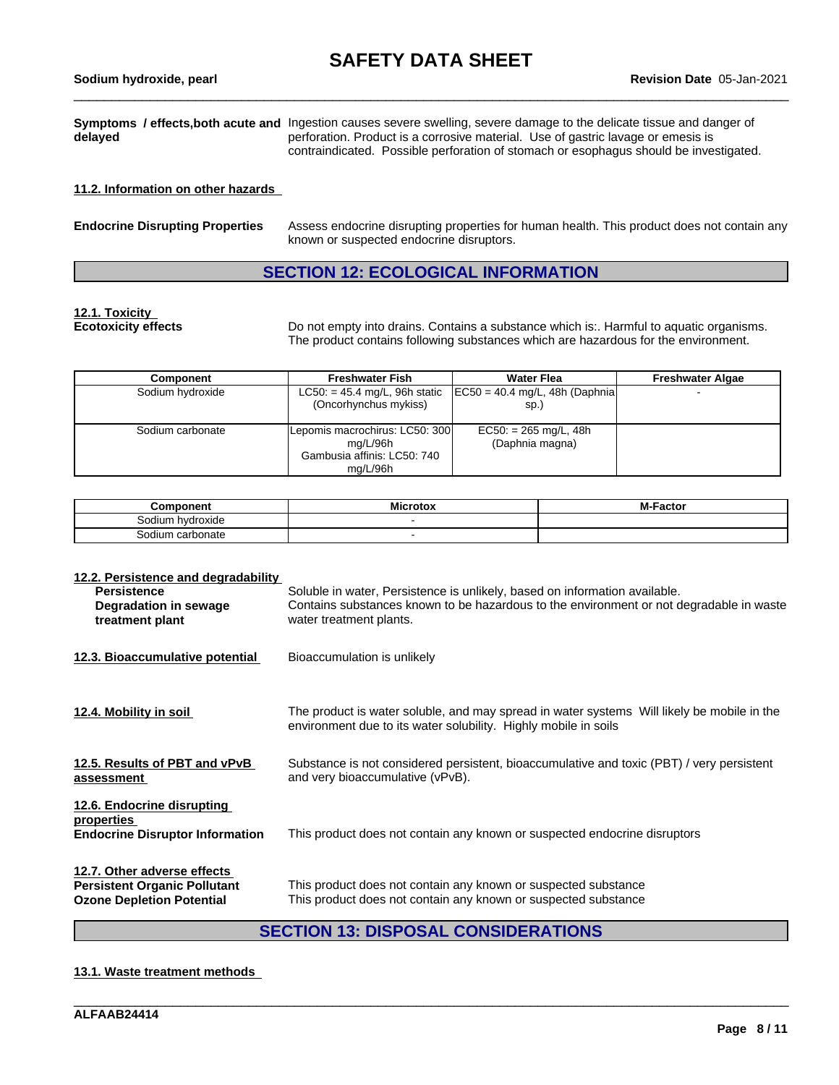|         | Symptoms / effects, both acute and Ingestion causes severe swelling, severe damage to the delicate tissue and danger of                                                   |
|---------|---------------------------------------------------------------------------------------------------------------------------------------------------------------------------|
| delayed | perforation. Product is a corrosive material. Use of gastric lavage or emesis is<br>contraindicated. Possible perforation of stomach or esophagus should be investigated. |

#### **11.2. Information on other hazards**

| <b>Endocrine Disrupting Properties</b> | Assess endocrine disrupting properties for human health. This product does not contain any<br>known or suspected endocrine disruptors. |
|----------------------------------------|----------------------------------------------------------------------------------------------------------------------------------------|
|                                        |                                                                                                                                        |

### **SECTION 12: ECOLOGICAL INFORMATION**

# **12.1. Toxicity**

**Ecotoxicity effects** Do not empty into drains. Contains a substance which is:. Harmful to aquatic organisms. The product contains following substances which are hazardous for the environment.

| <b>Component</b> | <b>Freshwater Fish</b>         | <b>Water Flea</b>                                                  | <b>Freshwater Algae</b> |
|------------------|--------------------------------|--------------------------------------------------------------------|-------------------------|
| Sodium hydroxide |                                | $LC50: = 45.4$ mg/L, 96h static $[EC50 = 40.4$ mg/L, 48h (Daphnia) |                         |
|                  | (Oncorhynchus mykiss)          | sp.)                                                               |                         |
|                  |                                |                                                                    |                         |
| Sodium carbonate | Lepomis macrochirus: LC50: 300 | $EC50: = 265$ mg/L, 48h                                            |                         |
|                  | mg/L/96h                       | (Daphnia magna)                                                    |                         |
|                  | Gambusia affinis: LC50: 740    |                                                                    |                         |
|                  | ma/L/96h                       |                                                                    |                         |

| Component           | <br><b>Microtox</b> | <b>M-Factor</b> |
|---------------------|---------------------|-----------------|
| hvdroxide<br>ാodium |                     |                 |
| Sodium carbonate    |                     |                 |

| 12.2. Persistence and degradability      |                                                                                            |
|------------------------------------------|--------------------------------------------------------------------------------------------|
| <b>Persistence</b>                       | Soluble in water, Persistence is unlikely, based on information available.                 |
| Degradation in sewage                    | Contains substances known to be hazardous to the environment or not degradable in waste    |
| treatment plant                          | water treatment plants.                                                                    |
|                                          |                                                                                            |
| 12.3. Bioaccumulative potential          | Bioaccumulation is unlikely                                                                |
|                                          |                                                                                            |
|                                          |                                                                                            |
|                                          |                                                                                            |
| 12.4. Mobility in soil                   | The product is water soluble, and may spread in water systems Will likely be mobile in the |
|                                          | environment due to its water solubility. Highly mobile in soils                            |
|                                          |                                                                                            |
| 12.5. Results of PBT and vPvB            | Substance is not considered persistent, bioaccumulative and toxic (PBT) / very persistent  |
| assessment                               | and very bioaccumulative (vPvB).                                                           |
|                                          |                                                                                            |
| 12.6. Endocrine disrupting<br>properties |                                                                                            |
| <b>Endocrine Disruptor Information</b>   | This product does not contain any known or suspected endocrine disruptors                  |
|                                          |                                                                                            |
|                                          |                                                                                            |
| 12.7. Other adverse effects              |                                                                                            |
| <b>Persistent Organic Pollutant</b>      | This product does not contain any known or suspected substance                             |
| <b>Ozone Depletion Potential</b>         | This product does not contain any known or suspected substance                             |
|                                          |                                                                                            |

### **SECTION 13: DISPOSAL CONSIDERATIONS**

\_\_\_\_\_\_\_\_\_\_\_\_\_\_\_\_\_\_\_\_\_\_\_\_\_\_\_\_\_\_\_\_\_\_\_\_\_\_\_\_\_\_\_\_\_\_\_\_\_\_\_\_\_\_\_\_\_\_\_\_\_\_\_\_\_\_\_\_\_\_\_\_\_\_\_\_\_\_\_\_\_\_\_\_\_\_\_\_\_\_\_\_\_\_

#### **13.1. Waste treatment methods**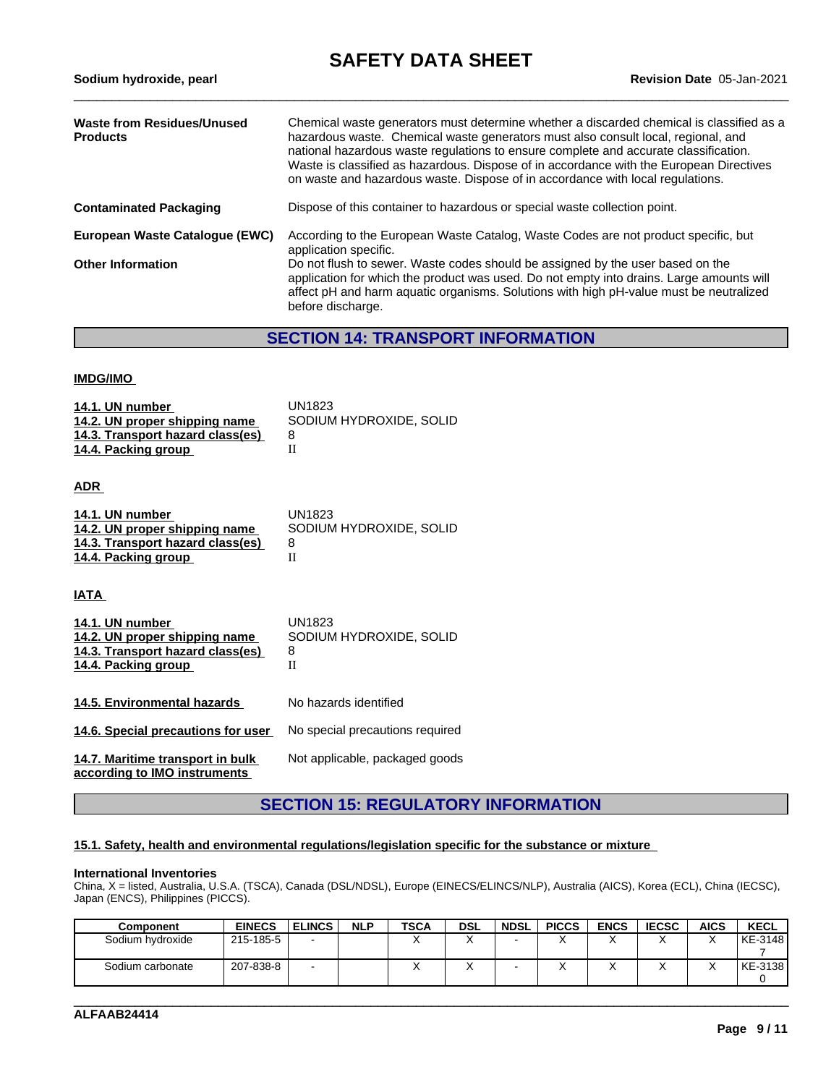| Waste from Residues/Unused<br><b>Products</b> | Chemical waste generators must determine whether a discarded chemical is classified as a<br>hazardous waste. Chemical waste generators must also consult local, regional, and<br>national hazardous waste regulations to ensure complete and accurate classification.<br>Waste is classified as hazardous. Dispose of in accordance with the European Directives<br>on waste and hazardous waste. Dispose of in accordance with local regulations. |
|-----------------------------------------------|----------------------------------------------------------------------------------------------------------------------------------------------------------------------------------------------------------------------------------------------------------------------------------------------------------------------------------------------------------------------------------------------------------------------------------------------------|
| <b>Contaminated Packaging</b>                 | Dispose of this container to hazardous or special waste collection point.                                                                                                                                                                                                                                                                                                                                                                          |
| European Waste Catalogue (EWC)                | According to the European Waste Catalog, Waste Codes are not product specific, but<br>application specific.                                                                                                                                                                                                                                                                                                                                        |
| <b>Other Information</b>                      | Do not flush to sewer. Waste codes should be assigned by the user based on the<br>application for which the product was used. Do not empty into drains. Large amounts will<br>affect pH and harm aquatic organisms. Solutions with high pH-value must be neutralized<br>before discharge.                                                                                                                                                          |

### **SECTION 14: TRANSPORT INFORMATION**

#### **IMDG/IMO**

| 14.1. UN number<br>14.2. UN proper shipping name | UN1823<br>SODIUM HYDROXIDE, SOLID |
|--------------------------------------------------|-----------------------------------|
| 14.3. Transport hazard class(es)                 | 8                                 |
| 14.4. Packing group                              |                                   |
|                                                  |                                   |

**ADR** 

| 14.1. UN number                  | UN1823                  |
|----------------------------------|-------------------------|
| 14.2. UN proper shipping name    | SODIUM HYDROXIDE, SOLID |
| 14.3. Transport hazard class(es) |                         |
| 14.4. Packing group              |                         |

**IATA** 

| 14.1. UN number<br>14.2. UN proper shipping name<br>14.3. Transport hazard class(es)<br>14.4. Packing group | UN1823<br>SODIUM HYDROXIDE, SOLID<br>8<br>П |
|-------------------------------------------------------------------------------------------------------------|---------------------------------------------|
| 14.5. Environmental hazards                                                                                 | No hazards identified                       |
| 14.6. Special precautions for user                                                                          | No special precautions required             |
| 14.7. Maritime transport in bulk<br>according to IMO instruments                                            | Not applicable, packaged goods              |

### **SECTION 15: REGULATORY INFORMATION**

#### **15.1. Safety, health and environmental regulations/legislation specific for the substance or mixture**

#### **International Inventories**

China, X = listed, Australia, U.S.A. (TSCA), Canada (DSL/NDSL), Europe (EINECS/ELINCS/NLP), Australia (AICS), Korea (ECL), China (IECSC), Japan (ENCS), Philippines (PICCS).

| <b>Component</b> | <b>EINECS</b> | <b>ELINCS</b> | <b>NLP</b> | <b>TSCA</b> | <b>DSL</b> | <b>NDSL</b> | <b>PICCS</b> | <b>ENCS</b> | <b>IECSC</b> | <b>AICS</b> | KECL    |
|------------------|---------------|---------------|------------|-------------|------------|-------------|--------------|-------------|--------------|-------------|---------|
| Sodium hydroxide | 215-185-5     | -             |            |             |            |             |              | $\lambda$   |              |             | KE-3148 |
|                  |               |               |            |             |            |             |              |             |              |             |         |
| Sodium carbonate | 207-838-8     | -             |            |             |            |             |              | $\lambda$   |              |             | KE-3138 |
|                  |               |               |            |             |            |             |              |             |              |             |         |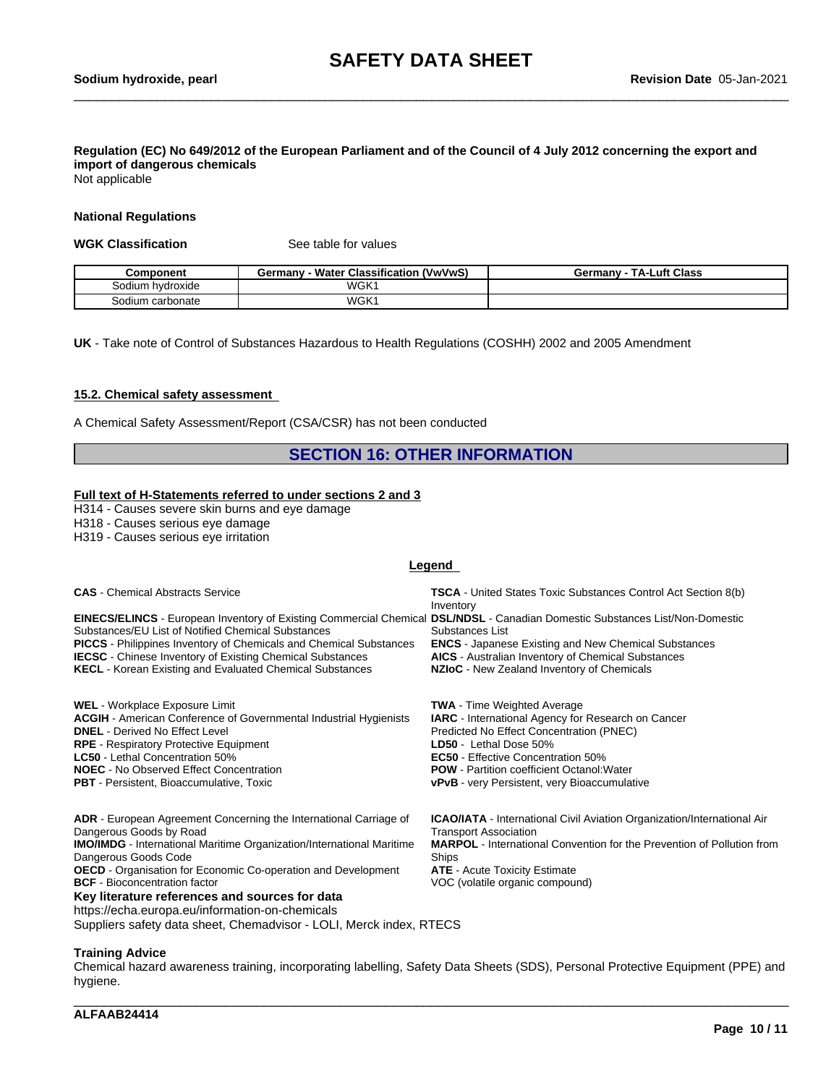### Regulation (EC) No 649/2012 of the European Parliament and of the Council of 4 July 2012 concerning the export and **import of dangerous chemicals**

Not applicable

#### **National Regulations**

#### **WGK Classification** See table for values

| Component                  | ، (VwVwS)<br><b>Classification</b><br>MAI.<br>Water<br>Germany | Luft Class<br>TA-L<br>ermanvش |
|----------------------------|----------------------------------------------------------------|-------------------------------|
| Sodium<br><b>hvdroxide</b> | WGK <sup>1</sup>                                               |                               |
| carbonate<br>Sodium        | WGK <sup>1</sup>                                               |                               |

**UK** - Take note of Control of Substances Hazardous to Health Regulations (COSHH) 2002 and 2005 Amendment

#### **15.2. Chemical safety assessment**

A Chemical Safety Assessment/Report (CSA/CSR) has not been conducted

### **SECTION 16: OTHER INFORMATION**

#### **Full text of H-Statements referred to undersections 2 and 3**

H314 - Causes severe skin burns and eye damage

H318 - Causes serious eye damage

H319 - Causes serious eye irritation

#### **Legend**

| <b>CAS</b> - Chemical Abstracts Service                                                                                                                                            | <b>TSCA</b> - United States Toxic Substances Control Act Section 8(b)<br>Inventory |
|------------------------------------------------------------------------------------------------------------------------------------------------------------------------------------|------------------------------------------------------------------------------------|
| EINECS/ELINCS - European Inventory of Existing Commercial Chemical DSL/NDSL - Canadian Domestic Substances List/Non-Domestic<br>Substances/EU List of Notified Chemical Substances | Substances List                                                                    |
| <b>PICCS</b> - Philippines Inventory of Chemicals and Chemical Substances                                                                                                          | <b>ENCS</b> - Japanese Existing and New Chemical Substances                        |
| <b>IECSC</b> - Chinese Inventory of Existing Chemical Substances                                                                                                                   | <b>AICS</b> - Australian Inventory of Chemical Substances                          |
| <b>KECL</b> - Korean Existing and Evaluated Chemical Substances                                                                                                                    | NZIoC - New Zealand Inventory of Chemicals                                         |
| WEL - Workplace Exposure Limit                                                                                                                                                     | <b>TWA</b> - Time Weighted Average                                                 |
| <b>ACGIH</b> - American Conference of Governmental Industrial Hygienists                                                                                                           | <b>IARC</b> - International Agency for Research on Cancer                          |
| <b>DNEL</b> - Derived No Effect Level                                                                                                                                              | Predicted No Effect Concentration (PNEC)                                           |
| <b>RPE</b> - Respiratory Protective Equipment                                                                                                                                      | LD50 - Lethal Dose 50%                                                             |
| <b>LC50</b> - Lethal Concentration 50%                                                                                                                                             | <b>EC50</b> - Effective Concentration 50%                                          |
| <b>NOEC</b> - No Observed Effect Concentration                                                                                                                                     | <b>POW</b> - Partition coefficient Octanol: Water                                  |
| <b>PBT</b> - Persistent, Bioaccumulative, Toxic                                                                                                                                    | <b>vPvB</b> - very Persistent, very Bioaccumulative                                |
| ADR - European Agreement Concerning the International Carriage of                                                                                                                  | <b>ICAO/IATA</b> - International Civil Aviation Organization/International Air     |
| Dangerous Goods by Road                                                                                                                                                            | <b>Transport Association</b>                                                       |
| <b>IMO/IMDG</b> - International Maritime Organization/International Maritime                                                                                                       | <b>MARPOL</b> - International Convention for the Prevention of Pollution from      |
| Dangerous Goods Code                                                                                                                                                               | Ships                                                                              |
| <b>OECD</b> - Organisation for Economic Co-operation and Development                                                                                                               | <b>ATE</b> - Acute Toxicity Estimate                                               |
| <b>BCF</b> - Bioconcentration factor                                                                                                                                               | VOC (volatile organic compound)                                                    |
| Key literature references and sources for data                                                                                                                                     |                                                                                    |
| https://echa.europa.eu/information-on-chemicals                                                                                                                                    |                                                                                    |
| Suppliers safety data sheet, Chemadvisor - LOLI, Merck index, RTECS                                                                                                                |                                                                                    |

**Training Advice**

Chemical hazard awareness training, incorporating labelling, Safety Data Sheets (SDS), Personal Protective Equipment (PPE) and hygiene.